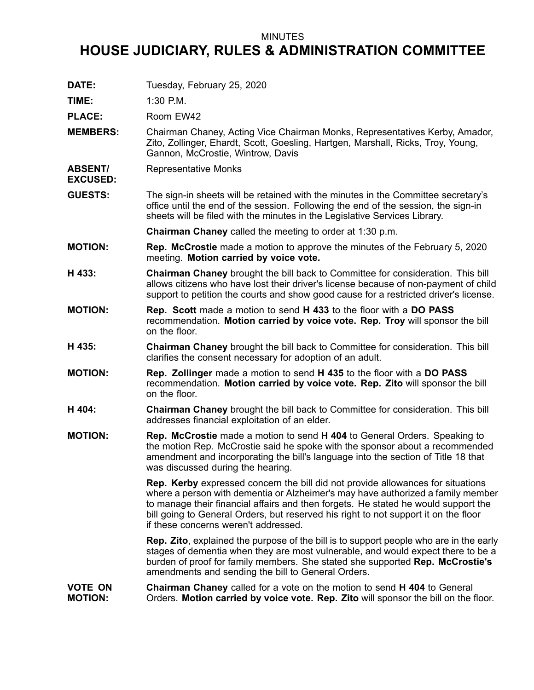## MINUTES

## **HOUSE JUDICIARY, RULES & ADMINISTRATION COMMITTEE**

**DATE:** Tuesday, February 25, 2020

**TIME:** 1:30 P.M.

**EXCUSED:**

PLACE: Room EW42

- **MEMBERS:** Chairman Chaney, Acting Vice Chairman Monks, Representatives Kerby, Amador, Zito, Zollinger, Ehardt, Scott, Goesling, Hartgen, Marshall, Ricks, Troy, Young, Gannon, McCrostie, Wintrow, Davis
- **ABSENT/** Representative Monks
- **GUESTS:** The sign-in sheets will be retained with the minutes in the Committee secretary's office until the end of the session. Following the end of the session, the sign-in sheets will be filed with the minutes in the Legislative Services Library.

**Chairman Chaney** called the meeting to order at 1:30 p.m.

- **MOTION: Rep. McCrostie** made <sup>a</sup> motion to approve the minutes of the February 5, 2020 meeting. **Motion carried by voice vote.**
- **H 433: Chairman Chaney** brought the bill back to Committee for consideration. This bill allows citizens who have lost their driver's license because of non-payment of child support to petition the courts and show good cause for <sup>a</sup> restricted driver's license.
- **MOTION: Rep. Scott** made <sup>a</sup> motion to send **H 433** to the floor with <sup>a</sup> **DO PASS** recommendation. **Motion carried by voice vote. Rep. Troy** will sponsor the bill on the floor.
- **H 435: Chairman Chaney** brought the bill back to Committee for consideration. This bill clarifies the consent necessary for adoption of an adult.
- **MOTION: Rep. Zollinger** made <sup>a</sup> motion to send **H 435** to the floor with <sup>a</sup> **DO PASS** recommendation. **Motion carried by voice vote. Rep. Zito** will sponsor the bill on the floor.
- **H 404: Chairman Chaney** brought the bill back to Committee for consideration. This bill addresses financial exploitation of an elder.
- **MOTION: Rep. McCrostie** made <sup>a</sup> motion to send **H 404** to General Orders. Speaking to the motion Rep. McCrostie said he spoke with the sponsor about <sup>a</sup> recommended amendment and incorporating the bill's language into the section of Title 18 that was discussed during the hearing.

**Rep. Kerby** expressed concern the bill did not provide allowances for situations where <sup>a</sup> person with dementia or Alzheimer's may have authorized <sup>a</sup> family member to manage their financial affairs and then forgets. He stated he would support the bill going to General Orders, but reserved his right to not support it on the floor if these concerns weren't addressed.

**Rep. Zito**, explained the purpose of the bill is to support people who are in the early stages of dementia when they are most vulnerable, and would expect there to be <sup>a</sup> burden of proof for family members. She stated she supported **Rep. McCrostie's** amendments and sending the bill to General Orders.

**VOTE ON MOTION: Chairman Chaney** called for <sup>a</sup> vote on the motion to send **H 404** to General Orders. **Motion carried by voice vote. Rep. Zito** will sponsor the bill on the floor.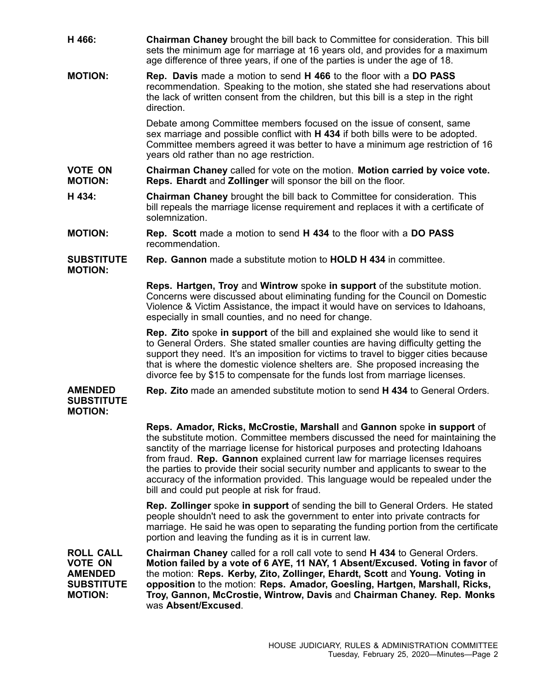- **H 466: Chairman Chaney** brought the bill back to Committee for consideration. This bill sets the minimum age for marriage at 16 years old, and provides for <sup>a</sup> maximum age difference of three years, if one of the parties is under the age of 18.
- **MOTION: Rep. Davis** made <sup>a</sup> motion to send **H 466** to the floor with <sup>a</sup> **DO PASS** recommendation. Speaking to the motion, she stated she had reservations about the lack of written consent from the children, but this bill is <sup>a</sup> step in the right direction.

Debate among Committee members focused on the issue of consent, same sex marriage and possible conflict with **H 434** if both bills were to be adopted. Committee members agreed it was better to have <sup>a</sup> minimum age restriction of 16 years old rather than no age restriction.

- **VOTE ON MOTION: Chairman Chaney** called for vote on the motion. **Motion carried by voice vote. Reps. Ehardt** and **Zollinger** will sponsor the bill on the floor.
- **H 434: Chairman Chaney** brought the bill back to Committee for consideration. This bill repeals the marriage license requirement and replaces it with <sup>a</sup> certificate of solemnization.
- **MOTION: Rep. Scott** made <sup>a</sup> motion to send **H 434** to the floor with <sup>a</sup> **DO PASS** recommendation.
- **SUBSTITUTE MOTION: Rep. Gannon** made <sup>a</sup> substitute motion to **HOLD H 434** in committee.

**Reps. Hartgen, Troy** and **Wintrow** spoke **in support** of the substitute motion. Concerns were discussed about eliminating funding for the Council on Domestic Violence & Victim Assistance, the impact it would have on services to Idahoans, especially in small counties, and no need for change.

**Rep. Zito** spoke **in support** of the bill and explained she would like to send it to General Orders. She stated smaller counties are having difficulty getting the support they need. It's an imposition for victims to travel to bigger cities because that is where the domestic violence shelters are. She proposed increasing the divorce fee by \$15 to compensate for the funds lost from marriage licenses.

## **AMENDED SUBSTITUTE MOTION:**

**Rep. Zito** made an amended substitute motion to send **H 434** to General Orders.

**Reps. Amador, Ricks, McCrostie, Marshall** and **Gannon** spoke **in support** of the substitute motion. Committee members discussed the need for maintaining the sanctity of the marriage license for historical purposes and protecting Idahoans from fraud. **Rep. Gannon** explained current law for marriage licenses requires the parties to provide their social security number and applicants to swear to the accuracy of the information provided. This language would be repealed under the bill and could put people at risk for fraud.

**Rep. Zollinger** spoke **in support** of sending the bill to General Orders. He stated people shouldn't need to ask the government to enter into private contracts for marriage. He said he was open to separating the funding portion from the certificate portion and leaving the funding as it is in current law.

**ROLL CALL VOTE ON AMENDED SUBSTITUTE MOTION: Chairman Chaney** called for <sup>a</sup> roll call vote to send **H 434** to General Orders. **Motion failed by <sup>a</sup> vote of 6 AYE, 11 NAY, 1 Absent/Excused. Voting in favor** of the motion: **Reps. Kerby, Zito, Zollinger, Ehardt, Scott** and **Young. Voting in opposition** to the motion: **Reps. Amador, Goesling, Hartgen, Marshall, Ricks, Troy, Gannon, McCrostie, Wintrow, Davis** and **Chairman Chaney. Rep. Monks** was **Absent/Excused**.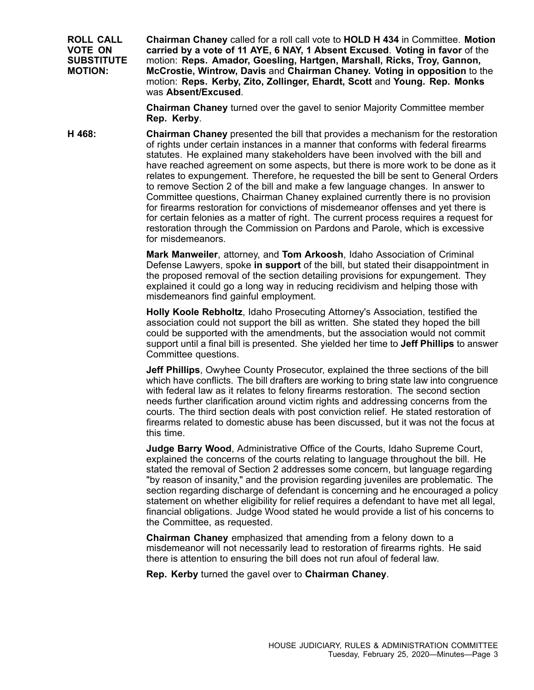**ROLL CALL VOTE ON SUBSTITUTE MOTION: Chairman Chaney** called for <sup>a</sup> roll call vote to **HOLD H 434** in Committee. **Motion carried by <sup>a</sup> vote of 11 AYE, 6 NAY, 1 Absent Excused**. **Voting in favor** of the motion: **Reps. Amador, Goesling, Hartgen, Marshall, Ricks, Troy, Gannon, McCrostie, Wintrow, Davis** and **Chairman Chaney. Voting in opposition** to the motion: **Reps. Kerby, Zito, Zollinger, Ehardt, Scott** and **Young. Rep. Monks** was **Absent/Excused**.

> **Chairman Chaney** turned over the gavel to senior Majority Committee member **Rep. Kerby**.

**H 468: Chairman Chaney** presented the bill that provides <sup>a</sup> mechanism for the restoration of rights under certain instances in <sup>a</sup> manner that conforms with federal firearms statutes. He explained many stakeholders have been involved with the bill and have reached agreement on some aspects, but there is more work to be done as it relates to expungement. Therefore, he requested the bill be sent to General Orders to remove Section 2 of the bill and make <sup>a</sup> few language changes. In answer to Committee questions, Chairman Chaney explained currently there is no provision for firearms restoration for convictions of misdemeanor offenses and yet there is for certain felonies as <sup>a</sup> matter of right. The current process requires <sup>a</sup> request for restoration through the Commission on Pardons and Parole, which is excessive for misdemeanors.

> **Mark Manweiler**, attorney, and **Tom Arkoosh**, Idaho Association of Criminal Defense Lawyers, spoke **in support** of the bill, but stated their disappointment in the proposed removal of the section detailing provisions for expungement. They explained it could go <sup>a</sup> long way in reducing recidivism and helping those with misdemeanors find gainful employment.

**Holly Koole Rebholtz**, Idaho Prosecuting Attorney's Association, testified the association could not support the bill as written. She stated they hoped the bill could be supported with the amendments, but the association would not commit support until <sup>a</sup> final bill is presented. She yielded her time to **Jeff Phillips** to answer Committee questions.

**Jeff Phillips**, Owyhee County Prosecutor, explained the three sections of the bill which have conflicts. The bill drafters are working to bring state law into congruence with federal law as it relates to felony firearms restoration. The second section needs further clarification around victim rights and addressing concerns from the courts. The third section deals with post conviction relief. He stated restoration of firearms related to domestic abuse has been discussed, but it was not the focus at this time.

**Judge Barry Wood**, Administrative Office of the Courts, Idaho Supreme Court, explained the concerns of the courts relating to language throughout the bill. He stated the removal of Section 2 addresses some concern, but language regarding "by reason of insanity," and the provision regarding juveniles are problematic. The section regarding discharge of defendant is concerning and he encouraged <sup>a</sup> policy statement on whether eligibility for relief requires <sup>a</sup> defendant to have met all legal, financial obligations. Judge Wood stated he would provide <sup>a</sup> list of his concerns to the Committee, as requested.

**Chairman Chaney** emphasized that amending from <sup>a</sup> felony down to <sup>a</sup> misdemeanor will not necessarily lead to restoration of firearms rights. He said there is attention to ensuring the bill does not run afoul of federal law.

**Rep. Kerby** turned the gavel over to **Chairman Chaney**.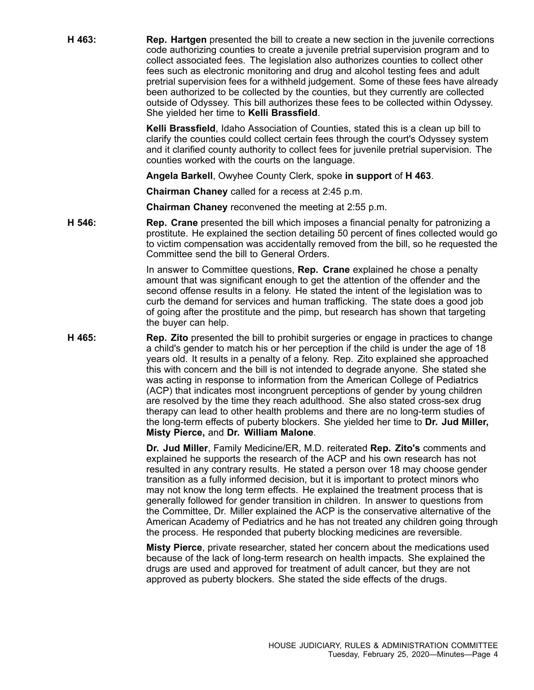**H 463: Rep. Hartgen** presented the bill to create <sup>a</sup> new section in the juvenile corrections code authorizing counties to create <sup>a</sup> juvenile pretrial supervision program and to collect associated fees. The legislation also authorizes counties to collect other fees such as electronic monitoring and drug and alcohol testing fees and adult pretrial supervision fees for <sup>a</sup> withheld judgement. Some of these fees have already been authorized to be collected by the counties, but they currently are collected outside of Odyssey. This bill authorizes these fees to be collected within Odyssey. She yielded her time to **Kelli Brassfield**.

> **Kelli Brassfield**, Idaho Association of Counties, stated this is <sup>a</sup> clean up bill to clarify the counties could collect certain fees through the court's Odyssey system and it clarified county authority to collect fees for juvenile pretrial supervision. The counties worked with the courts on the language.

**Angela Barkell**, Owyhee County Clerk, spoke **in support** of **H 463**.

**Chairman Chaney** called for <sup>a</sup> recess at 2:45 p.m.

**Chairman Chaney** reconvened the meeting at 2:55 p.m.

**H 546: Rep. Crane** presented the bill which imposes <sup>a</sup> financial penalty for patronizing <sup>a</sup> prostitute. He explained the section detailing 50 percent of fines collected would go to victim compensation was accidentally removed from the bill, so he requested the Committee send the bill to General Orders.

> In answer to Committee questions, **Rep. Crane** explained he chose <sup>a</sup> penalty amount that was significant enough to get the attention of the offender and the second offense results in <sup>a</sup> felony. He stated the intent of the legislation was to curb the demand for services and human trafficking. The state does <sup>a</sup> good job of going after the prostitute and the pimp, but research has shown that targeting the buyer can help.

**H 465: Rep. Zito** presented the bill to prohibit surgeries or engage in practices to change <sup>a</sup> child's gender to match his or her perception if the child is under the age of 18 years old. It results in <sup>a</sup> penalty of <sup>a</sup> felony. Rep. Zito explained she approached this with concern and the bill is not intended to degrade anyone. She stated she was acting in response to information from the American College of Pediatrics (ACP) that indicates most incongruent perceptions of gender by young children are resolved by the time they reach adulthood. She also stated cross-sex drug therapy can lead to other health problems and there are no long-term studies of the long-term effects of puberty blockers. She yielded her time to **Dr. Jud Miller, Misty Pierce,** and **Dr. William Malone**.

> **Dr. Jud Miller**, Family Medicine/ER, M.D. reiterated **Rep. Zito's** comments and explained he supports the research of the ACP and his own research has not resulted in any contrary results. He stated <sup>a</sup> person over 18 may choose gender transition as <sup>a</sup> fully informed decision, but it is important to protect minors who may not know the long term effects. He explained the treatment process that is generally followed for gender transition in children. In answer to questions from the Committee, Dr. Miller explained the ACP is the conservative alternative of the American Academy of Pediatrics and he has not treated any children going through the process. He responded that puberty blocking medicines are reversible.

**Misty Pierce**, private researcher, stated her concern about the medications used because of the lack of long-term research on health impacts. She explained the drugs are used and approved for treatment of adult cancer, but they are not approved as puberty blockers. She stated the side effects of the drugs.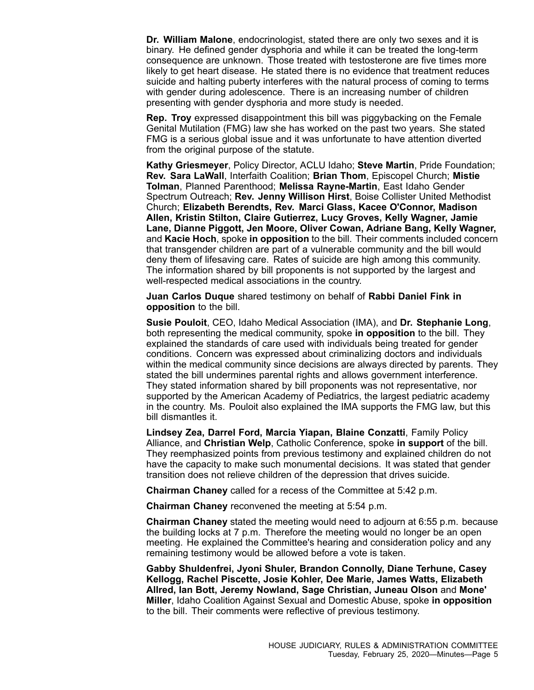**Dr. William Malone**, endocrinologist, stated there are only two sexes and it is binary. He defined gender dysphoria and while it can be treated the long-term consequence are unknown. Those treated with testosterone are five times more likely to get heart disease. He stated there is no evidence that treatment reduces suicide and halting puberty interferes with the natural process of coming to terms with gender during adolescence. There is an increasing number of children presenting with gender dysphoria and more study is needed.

**Rep. Troy** expressed disappointment this bill was piggybacking on the Female Genital Mutilation (FMG) law she has worked on the past two years. She stated FMG is <sup>a</sup> serious global issue and it was unfortunate to have attention diverted from the original purpose of the statute.

**Kathy Griesmeyer**, Policy Director, ACLU Idaho; **Steve Martin**, Pride Foundation; **Rev. Sara LaWall**, Interfaith Coalition; **Brian Thom**, Episcopel Church; **Mistie Tolman**, Planned Parenthood; **Melissa Rayne-Martin**, East Idaho Gender Spectrum Outreach; **Rev. Jenny Willison Hirst**, Boise Collister United Methodist Church; **Elizabeth Berendts, Rev. Marci Glass, Kacee O'Connor, Madison Allen, Kristin Stilton, Claire Gutierrez, Lucy Groves, Kelly Wagner, Jamie Lane, Dianne Piggott, Jen Moore, Oliver Cowan, Adriane Bang, Kelly Wagner,** and **Kacie Hoch**, spoke **in opposition** to the bill. Their comments included concern that transgender children are part of <sup>a</sup> vulnerable community and the bill would deny them of lifesaving care. Rates of suicide are high among this community. The information shared by bill proponents is not supported by the largest and well-respected medical associations in the country.

**Juan Carlos Duque** shared testimony on behalf of **Rabbi Daniel Fink in opposition** to the bill.

**Susie Pouloit**, CEO, Idaho Medical Association (IMA), and **Dr. Stephanie Long**, both representing the medical community, spoke **in opposition** to the bill. They explained the standards of care used with individuals being treated for gender conditions. Concern was expressed about criminalizing doctors and individuals within the medical community since decisions are always directed by parents. They stated the bill undermines parental rights and allows government interference. They stated information shared by bill proponents was not representative, nor supported by the American Academy of Pediatrics, the largest pediatric academy in the country. Ms. Pouloit also explained the IMA supports the FMG law, but this bill dismantles it.

**Lindsey Zea, Darrel Ford, Marcia Yiapan, Blaine Conzatti**, Family Policy Alliance, and **Christian Welp**, Catholic Conference, spoke **in support** of the bill. They reemphasized points from previous testimony and explained children do not have the capacity to make such monumental decisions. It was stated that gender transition does not relieve children of the depression that drives suicide.

**Chairman Chaney** called for <sup>a</sup> recess of the Committee at 5:42 p.m.

**Chairman Chaney** reconvened the meeting at 5:54 p.m.

**Chairman Chaney** stated the meeting would need to adjourn at 6:55 p.m. because the building locks at 7 p.m. Therefore the meeting would no longer be an open meeting. He explained the Committee's hearing and consideration policy and any remaining testimony would be allowed before <sup>a</sup> vote is taken.

**Gabby Shuldenfrei, Jyoni Shuler, Brandon Connolly, Diane Terhune, Casey Kellogg, Rachel Piscette, Josie Kohler, Dee Marie, James Watts, Elizabeth Allred, Ian Bott, Jeremy Nowland, Sage Christian, Juneau Olson** and **Mone' Miller**, Idaho Coalition Against Sexual and Domestic Abuse, spoke **in opposition** to the bill. Their comments were reflective of previous testimony.